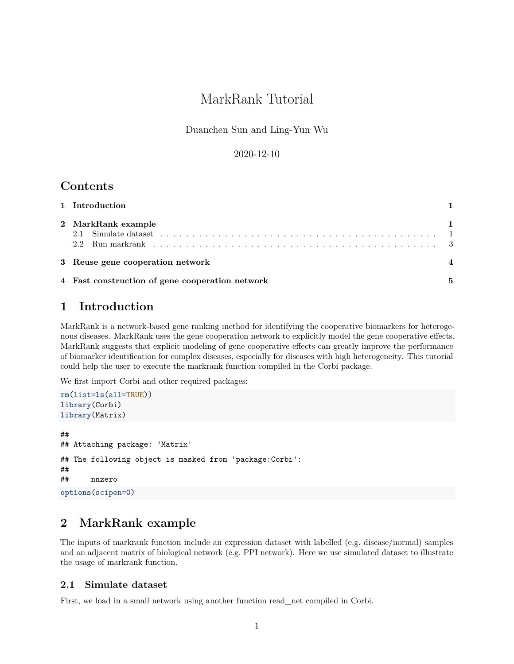# MarkRank Tutorial

Duanchen Sun and Ling-Yun Wu

#### 2020-12-10

### **Contents**

| 1 Introduction                                  |   |
|-------------------------------------------------|---|
| 2 MarkRank example                              |   |
| 3 Reuse gene cooperation network                |   |
| 4 Fast construction of gene cooperation network | 5 |

## <span id="page-0-0"></span>**1 Introduction**

MarkRank is a network-based gene ranking method for identifying the cooperative biomarkers for heterogenous diseases. MarkRank uses the gene cooperation network to explicitly model the gene cooperative effects. MarkRank suggests that explicit modeling of gene cooperative effects can greatly improve the performance of biomarker identification for complex diseases, especially for diseases with high heterogeneity. This tutorial could help the user to execute the markrank function compiled in the Corbi package.

We first import Corbi and other required packages:

```
rm(list=ls(all=TRUE))
library(Corbi)
library(Matrix)
##
## Attaching package: 'Matrix'
## The following object is masked from 'package:Corbi':
##
## nnzero
options(scipen=0)
```
## <span id="page-0-1"></span>**2 MarkRank example**

The inputs of markrank function include an expression dataset with labelled (e.g. disease/normal) samples and an adjacent matrix of biological network (e.g. PPI network). Here we use simulated dataset to illustrate the usage of markrank function.

#### <span id="page-0-2"></span>**2.1 Simulate dataset**

First, we load in a small network using another function read\_net compiled in Corbi.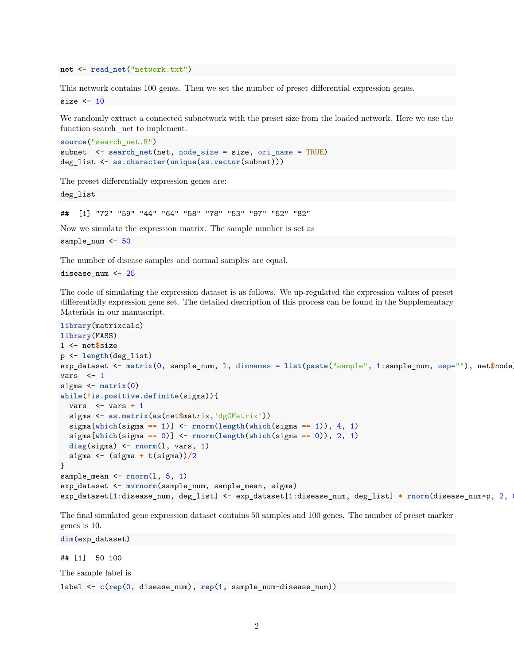net <- **read\_net**("network.txt")

This network contains 100 genes. Then we set the number of preset differential expression genes. size  $<-10$ 

We randomly extract a connected subnetwork with the preset size from the loaded network. Here we use the function search\_net to implement.

```
source("search_net.R")
subnet <- search_net(net, node_size = size, ori_name = TRUE)
deg_list <- as.character(unique(as.vector(subnet)))
```
The preset differentially expression genes are:

deg\_list

## [1] "72" "59" "44" "64" "58" "78" "53" "97" "52" "82"

Now we simulate the expression matrix. The sample number is set as

sample\_num <- 50

The number of disease samples and normal samples are equal.

disease\_num <- 25

The code of simulating the expression dataset is as follows. We up-regulated the expression values of preset differentially expression gene set. The detailed description of this process can be found in the Supplementary Materials in our manuscript.

```
library(matrixcalc)
library(MASS)
l <- net$size
p <- length(deg_list)
exp_dataset <- matrix(0, sample_num, l, dimnames = list(paste("sample", 1:sample_num, sep=""), net$node))
vars \leftarrow 1
sigma <- matrix(0)
while(!is.positive.definite(sigma)){
  vars <- vars + 1
  sigma <- as.matrix(as(net$matrix,'dgCMatrix'))
  sigma[which(sigma == 1)] <- rnorm(length(which(sigma == 1)), 4, 1)
  sigma[which(sigma == 0)] <- rnorm(length(which(sigma == 0)), 2, 1)
 diag(sigma) <- rnorm(l, vars, 1)
  sigma <- (sigma + t(sigma))/2
}
sample_mean <- rnorm(l, 5, 1)
exp_dataset <- mvrnorm(sample_num, sample_mean, sigma)
exp_dataset[1:disease_num, deg_list] <- exp_dataset[1:disease_num, deg_list] * rnorm(disease_num*p, 2, 0.1)
```
The final simulated gene expression dataset contains 50 samples and 100 genes. The number of preset marker genes is 10.

**dim**(exp\_dataset)

## [1] 50 100

The sample label is

label <- **c**(**rep**(0, disease\_num), **rep**(1, sample\_num**-**disease\_num))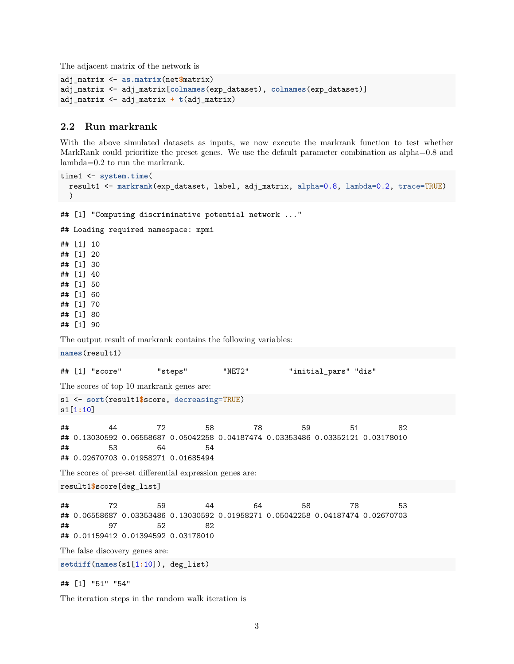The adjacent matrix of the network is

```
adj_matrix <- as.matrix(net$matrix)
adj_matrix <- adj_matrix[colnames(exp_dataset), colnames(exp_dataset)]
adj_matrix <- adj_matrix + t(adj_matrix)
```
#### <span id="page-2-0"></span>**2.2 Run markrank**

With the above simulated datasets as inputs, we now execute the markrank function to test whether MarkRank could prioritize the preset genes. We use the default parameter combination as alpha=0.8 and lambda=0.2 to run the markrank.

```
time1 <- system.time(
 result1 <- markrank(exp_dataset, label, adj_matrix, alpha=0.8, lambda=0.2, trace=TRUE)
\rightarrow## [1] "Computing discriminative potential network ..."
## Loading required namespace: mpmi
## [1] 10
## [1] 20
## [1] 30
## [1] 40
## [1] 50
## [1] 60
## [1] 70
## [1] 80
## [1] 90
The output result of markrank contains the following variables:
names(result1)
## [1] "score" "steps" "NET2" "initial_pars" "dis"
The scores of top 10 markrank genes are:
s1 <- sort(result1$score, decreasing=TRUE)
s1[1:10]
## 44 72 58 78 59 51 82
## 0.13030592 0.06558687 0.05042258 0.04187474 0.03353486 0.03352121 0.03178010
## 53 64 54
## 0.02670703 0.01958271 0.01685494
The scores of pre-set differential expression genes are:
result1$score[deg_list]
## 72 59 44 64 58 78 53
## 0.06558687 0.03353486 0.13030592 0.01958271 0.05042258 0.04187474 0.02670703
## 97 52 82
## 0.01159412 0.01394592 0.03178010
The false discovery genes are:
setdiff(names(s1[1:10]), deg_list)
```
## [1] "51" "54"

The iteration steps in the random walk iteration is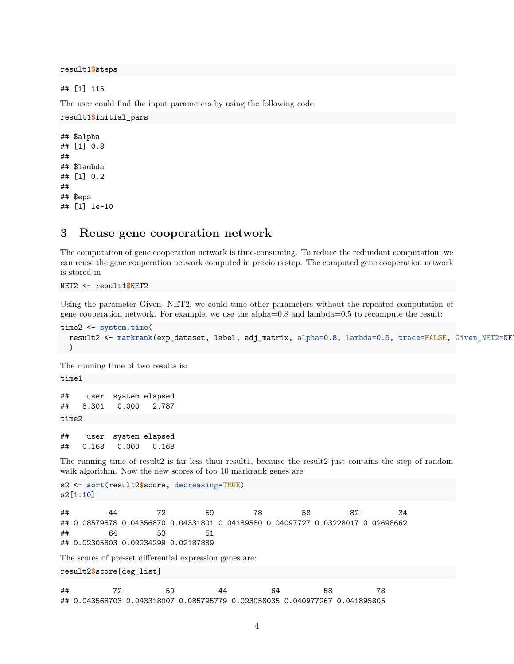result1**\$**steps

## [1] 115

The user could find the input parameters by using the following code:

```
result1$initial_pars
```

```
## $alpha
## [1] 0.8
##
## $lambda
## [1] 0.2
##
## $eps
## [1] 1e-10
```
#### <span id="page-3-0"></span>**3 Reuse gene cooperation network**

The computation of gene cooperation network is time-consuming. To reduce the redundant computation, we can reuse the gene cooperation network computed in previous step. The computed gene cooperation network is stored in

NET2 <- result1**\$**NET2

Using the parameter Given\_NET2, we could tune other parameters without the repeated computation of gene cooperation network. For example, we use the alpha=0.8 and lambda=0.5 to recompute the result:

```
time2 <- system.time(
 result2 <- markrank(exp_dataset, label, adj_matrix, alpha=0.8, lambda=0.5, trace=FALSE, Given_NET2=NET2)
 )
```
The running time of two results is:

time1

```
## user system elapsed
## 8.301 0.000 2.787
time2
```
## user system elapsed ## 0.168 0.000 0.168

The running time of result2 is far less than result1, because the result2 just contains the step of random walk algorithm. Now the new scores of top 10 markrank genes are:

```
s2 <- sort(result2$score, decreasing=TRUE)
s2[1:10]
```
## 44 72 59 78 58 82 34 ## 0.08579578 0.04356870 0.04331801 0.04189580 0.04097727 0.03228017 0.02698662 ## 64 53 51 ## 0.02305803 0.02234299 0.02187889 The scores of pre-set differential expression genes are:

result2**\$**score[deg\_list]

## 72 59 44 64 58 78 ## 0.043568703 0.043318007 0.085795779 0.023058035 0.040977267 0.041895805